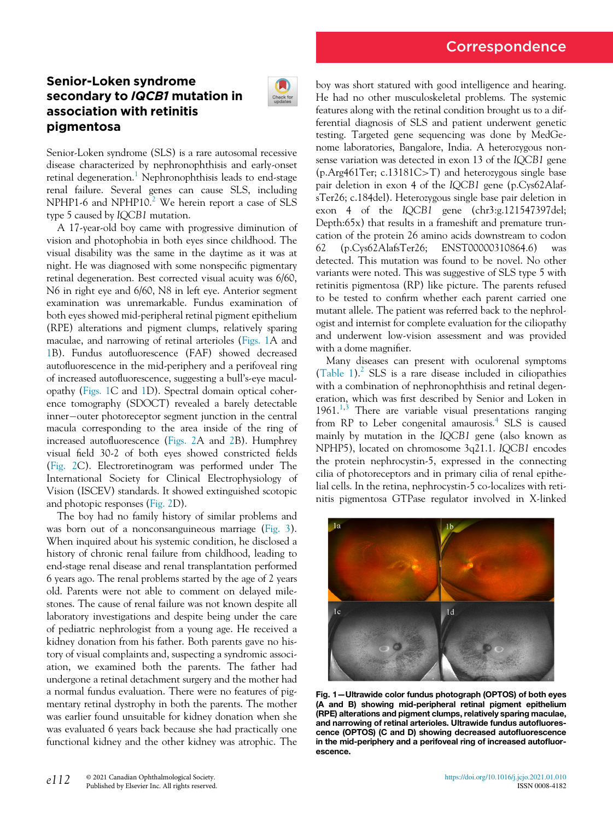# Senior-Loken syndrome secondary to IQCB1 mutation in association with retinitis pigmentosa



Senior-Loken syndrome (SLS) is a rare autosomal recessive disease characterized by nephronophthisis and early-onset retinal degeneration.<sup>[1](#page-2-0)</sup> Nephronophthisis leads to end-stage renal failure. Several genes can cause SLS, including NPHP1-6 and NPHP10.<sup>[2](#page-2-1)</sup> We herein report a case of SLS type 5 caused by IQCB1 mutation.

A 17-year-old boy came with progressive diminution of vision and photophobia in both eyes since childhood. The visual disability was the same in the daytime as it was at night. He was diagnosed with some nonspecific pigmentary retinal degeneration. Best corrected visual acuity was 6/60, N6 in right eye and 6/60, N8 in left eye. Anterior segment examination was unremarkable. Fundus examination of both eyes showed mid-peripheral retinal pigment epithelium (RPE) alterations and pigment clumps, relatively sparing maculae, and narrowing of retinal arterioles ([Figs. 1](#page-0-0)A and [1](#page-0-0)B). Fundus autofluorescence (FAF) showed decreased autofluorescence in the mid-periphery and a perifoveal ring of increased autofluorescence, suggesting a bull's-eye maculopathy [\(Figs. 1C](#page-0-0) and [1D](#page-0-0)). Spectral domain optical coherence tomography (SDOCT) revealed a barely detectable inner-outer photoreceptor segment junction in the central macula corresponding to the area inside of the ring of increased autofluorescence [\(Figs. 2A](#page-1-0) and [2B](#page-1-0)). Humphrey visual field 30-2 of both eyes showed constricted fields [\(Fig. 2C](#page-1-0)). Electroretinogram was performed under The International Society for Clinical Electrophysiology of Vision (ISCEV) standards. It showed extinguished scotopic and photopic responses [\(Fig. 2D](#page-1-0)).

<span id="page-0-0"></span>The boy had no family history of similar problems and was born out of a nonconsanguineous marriage ([Fig. 3](#page-1-1)). When inquired about his systemic condition, he disclosed a history of chronic renal failure from childhood, leading to end-stage renal disease and renal transplantation performed 6 years ago. The renal problems started by the age of 2 years old. Parents were not able to comment on delayed milestones. The cause of renal failure was not known despite all laboratory investigations and despite being under the care of pediatric nephrologist from a young age. He received a kidney donation from his father. Both parents gave no history of visual complaints and, suspecting a syndromic association, we examined both the parents. The father had undergone a retinal detachment surgery and the mother had a normal fundus evaluation. There were no features of pigmentary retinal dystrophy in both the parents. The mother was earlier found unsuitable for kidney donation when she was evaluated 6 years back because she had practically one functional kidney and the other kidney was atrophic. The boy was short statured with good intelligence and hearing. He had no other musculoskeletal problems. The systemic features along with the retinal condition brought us to a differential diagnosis of SLS and patient underwent genetic testing. Targeted gene sequencing was done by MedGenome laboratories, Bangalore, India. A heterozygous nonsense variation was detected in exon 13 of the IQCB1 gene (p.Arg461Ter; c.13181C>T) and heterozygous single base pair deletion in exon 4 of the IQCB1 gene (p.Cys62AlafsTer26; c.184del). Heterozygous single base pair deletion in exon 4 of the IQCB1 gene (chr3:g.121547397del; Depth:65x) that results in a frameshift and premature truncation of the protein 26 amino acids downstream to codon 62 (p.Cys62AlafsTer26; ENST00000310864.6) was detected. This mutation was found to be novel. No other variants were noted. This was suggestive of SLS type 5 with retinitis pigmentosa (RP) like picture. The parents refused to be tested to confirm whether each parent carried one mutant allele. The patient was referred back to the nephrologist and internist for complete evaluation for the ciliopathy and underwent low-vision assessment and was provided with a dome magnifier.

Many diseases can present with oculorenal symptoms [\(Table 1\)](#page-1-2).<sup>2</sup> SLS is a rare disease included in ciliopathies with a combination of nephronophthisis and retinal degeneration, which was first described by Senior and Loken in  $1961$  $1961$ <sup>1[,3](#page-2-2)</sup> There are variable visual presentations ranging from RP to Leber congenital amaurosis.<sup>[4](#page-2-3)</sup> SLS is caused mainly by mutation in the IQCB1 gene (also known as NPHP5), located on chromosome 3q21.1. IQCB1 encodes the protein nephrocystin-5, expressed in the connecting cilia of photoreceptors and in primary cilia of renal epithelial cells. In the retina, nephrocystin-5 co-localizes with retinitis pigmentosa GTPase regulator involved in X-linked



Fig. 1—Ultrawide color fundus photograph (OPTOS) of both eyes (A and B) showing mid-peripheral retinal pigment epithelium (RPE) alterations and pigment clumps, relatively sparing maculae, and narrowing of retinal arterioles. Ultrawide fundus autofluorescence (OPTOS) (C and D) showing decreased autofluorescence in the mid-periphery and a perifoveal ring of increased autofluorescence.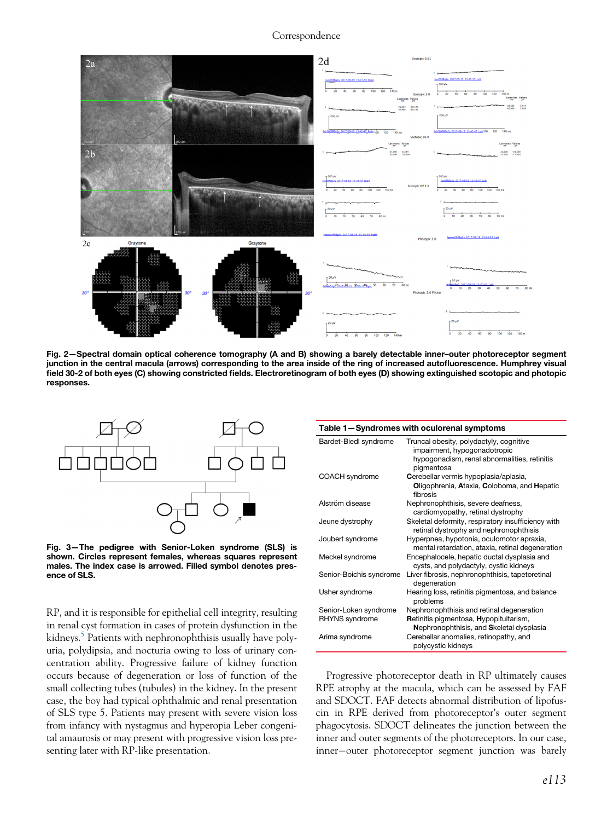<span id="page-1-0"></span>

Fig. 2—Spectral domain optical coherence tomography (A and B) showing a barely detectable inner–outer photoreceptor segment junction in the central macula (arrows) corresponding to the area inside of the ring of increased autofluorescence. Humphrey visual field 30-2 of both eyes (C) showing constricted fields. Electroretinogram of both eyes (D) showing extinguished scotopic and photopic responses.

<span id="page-1-2"></span><span id="page-1-1"></span>

Fig. 3—The pedigree with Senior-Loken syndrome (SLS) is shown. Circles represent females, whereas squares represent males. The index case is arrowed. Filled symbol denotes presence of SLS.

RP, and it is responsible for epithelial cell integrity, resulting in renal cyst formation in cases of protein dysfunction in the kidneys.<sup>[5](#page-2-4)</sup> Patients with nephronophthisis usually have polyuria, polydipsia, and nocturia owing to loss of urinary concentration ability. Progressive failure of kidney function occurs because of degeneration or loss of function of the small collecting tubes (tubules) in the kidney. In the present case, the boy had typical ophthalmic and renal presentation of SLS type 5. Patients may present with severe vision loss from infancy with nystagmus and hyperopia Leber congenital amaurosis or may present with progressive vision loss presenting later with RP-like presentation.

| rable T-Syndromes with oculorenal symptoms |                                                                                                                                       |
|--------------------------------------------|---------------------------------------------------------------------------------------------------------------------------------------|
| Bardet-Biedl syndrome                      | Truncal obesity, polydactyly, cognitive<br>impairment, hypogonadotropic<br>hypogonadism, renal abnormalities, retinitis<br>pigmentosa |
| COACH syndrome                             | Cerebellar vermis hypoplasia/aplasia,<br>Oligophrenia, Ataxia, Coloboma, and Hepatic<br>fibrosis                                      |
| Alström disease                            | Nephronophthisis, severe deafness,<br>cardiomyopathy, retinal dystrophy                                                               |
| Jeune dystrophy                            | Skeletal deformity, respiratory insufficiency with<br>retinal dystrophy and nephronophthisis                                          |
| Joubert syndrome                           | Hyperpnea, hypotonia, oculomotor apraxia,<br>mental retardation, ataxia, retinal degeneration                                         |
| Meckel syndrome                            | Encephalocele, hepatic ductal dysplasia and<br>cysts, and polydactyly, cystic kidneys                                                 |
| Senior-Boichis syndrome                    | Liver fibrosis, nephronophthisis, tapetoretinal<br>degeneration                                                                       |
| Usher syndrome                             | Hearing loss, retinitis pigmentosa, and balance<br>problems                                                                           |
| Senior-Loken syndrome                      | Nephronophthisis and retinal degeneration                                                                                             |
| RHYNS syndrome                             | Retinitis pigmentosa, Hypopituitarism,<br>Nephronophthisis, and Skeletal dysplasia                                                    |
| Arima syndrome                             | Cerebellar anomalies, retinopathy, and<br>polycystic kidneys                                                                          |

Table 1—Syndromes with oculorenal symptoms

Progressive photoreceptor death in RP ultimately causes RPE atrophy at the macula, which can be assessed by FAF and SDOCT. FAF detects abnormal distribution of lipofuscin in RPE derived from photoreceptor's outer segment phagocytosis. SDOCT delineates the junction between the inner and outer segments of the photoreceptors. In our case, inner-outer photoreceptor segment junction was barely